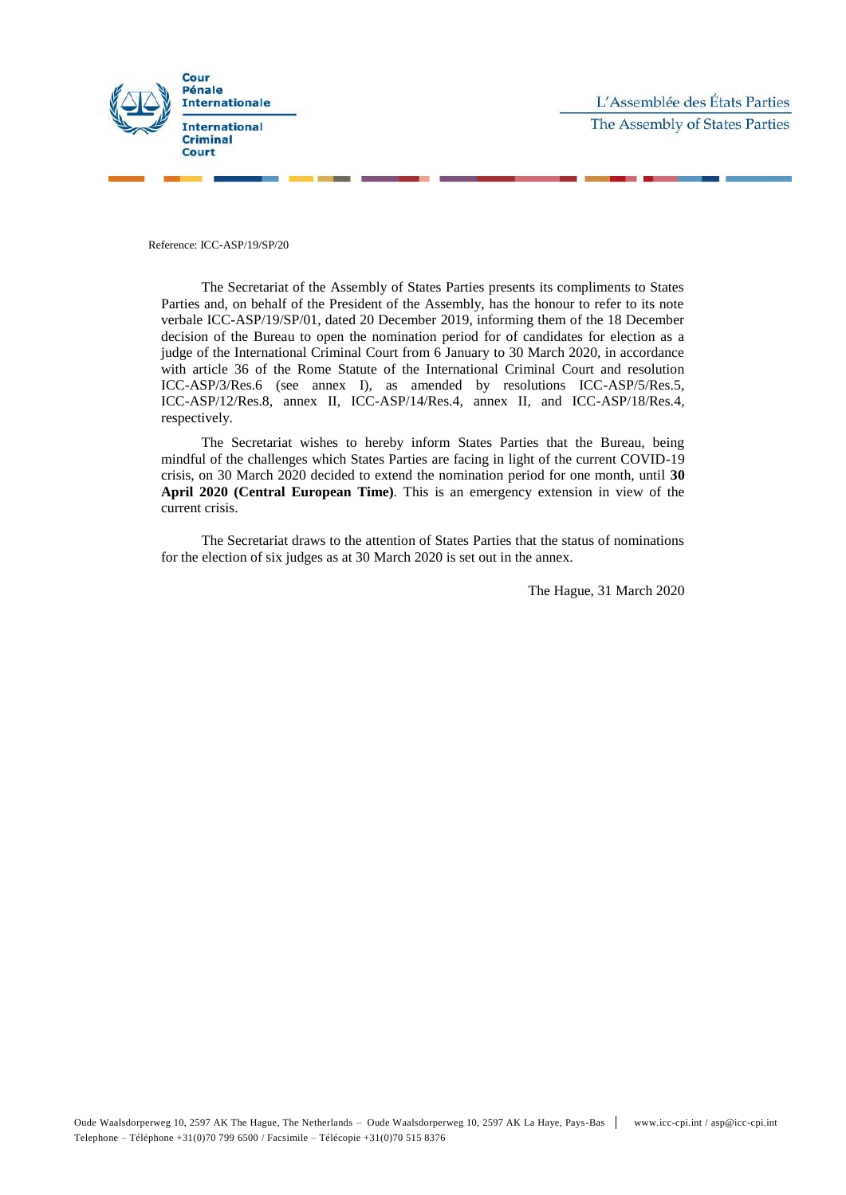

Reference: ICC-ASP/19/SP/20

The Secretariat of the Assembly of States Parties presents its compliments to States Parties and, on behalf of the President of the Assembly, has the honour to refer to its note verbale ICC-ASP/19/SP/01, dated 20 December 2019, informing them of the 18 December decision of the Bureau to open the nomination period for of candidates for election as a judge of the International Criminal Court from 6 January to 30 March 2020, in accordance with article 36 of the Rome Statute of the International Criminal Court and resolution ICC-ASP/3/Res.6 (see annex I), as amended by resolutions ICC-ASP/5/Res.5, ICC-ASP/12/Res.8, annex II, ICC-ASP/14/Res.4, annex II, and ICC-ASP/18/Res.4, respectively.

The Secretariat wishes to hereby inform States Parties that the Bureau, being mindful of the challenges which States Parties are facing in light of the current COVID-19 crisis, on 30 March 2020 decided to extend the nomination period for one month, until **30 April 2020 (Central European Time)**. This is an emergency extension in view of the current crisis.

The Secretariat draws to the attention of States Parties that the status of nominations for the election of six judges as at 30 March 2020 is set out in the annex.

The Hague, 31 March 2020